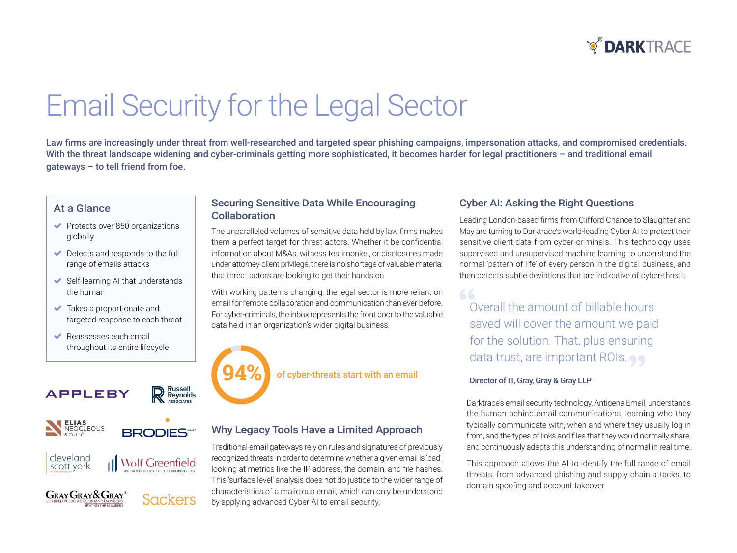

# Email Security for the Legal Sector

Law firms are increasingly under threat from well-researched and targeted spear phishing campaigns, impersonation attacks, and compromised credentials. With the threat landscape widening and cyber-criminals getting more sophisticated, it becomes harder for legal practitioners - and traditional email  $q$ ateways – to tell friend from foe.

#### At a Glance

- $\blacktriangleright$  Protects over 850 organizations globally
- $\blacktriangleright$  Detects and responds to the full range of emails attacks
- $\blacktriangleright$  Self-learning AI that understands the human
- $\blacktriangleright$  Takes a proportionate and targeted response to each threat
- $\blacktriangleright$  Reassesses each email throughout its entire lifecycle

### **APPLEBY**







#### **Securing Sensitive Data While Encouraging** Collaboration

The unparalleled volumes of sensitive data held by law firms makes them a perfect target for threat actors. Whether it be confidential information about M&As, witness testimonies, or disclosures made under attorney-client privilege, there is no shortage of valuable material that threat actors are looking to get their hands on.

With working patterns changing, the legal sector is more reliant on email for remote collaboration and communication than ever before. For cyber-criminals, the inbox represents the front door to the valuable data held in an organization's wider digital business.



of cyber-threats start with an email

#### **Why Legacy Tools Have a Limited Approach**

Traditional email gateways rely on rules and signatures of previously recognized threats in order to determine whether a given email is 'bad', looking at metrics like the IP address, the domain, and file hashes. This 'surface level' analysis does not do justice to the wider range of characteristics of a malicious email, which can only be understood by applying advanced Cyber AI to email security.

#### Cyber AI: Asking the Right Questions

Leading London-based firms from Clifford Chance to Slaughter and May are turning to Darktrace's world-leading Cyber AI to protect their sensitive client data from cyber-criminals. This technology uses supervised and unsupervised machine learning to understand the normal 'pattern of life' of every person in the digital business, and then detects subtle deviations that are indicative of cyber-threat.

Overall the amount of billable hours saved will cover the amount we paid for the solution. That, plus ensuring data trust, are important ROIs.

#### Director of IT, Gray, Gray & Gray LLP

Darktrace's email security technology, Antigena Email, understands the human behind email communications, learning who they typically communicate with, when and where they usually log in from, and the types of links and files that they would normally share, and continuously adapts this understanding of normal in real time.

This approach allows the AI to identify the full range of email threats, from advanced phishing and supply chain attacks, to domain spoofing and account takeover.